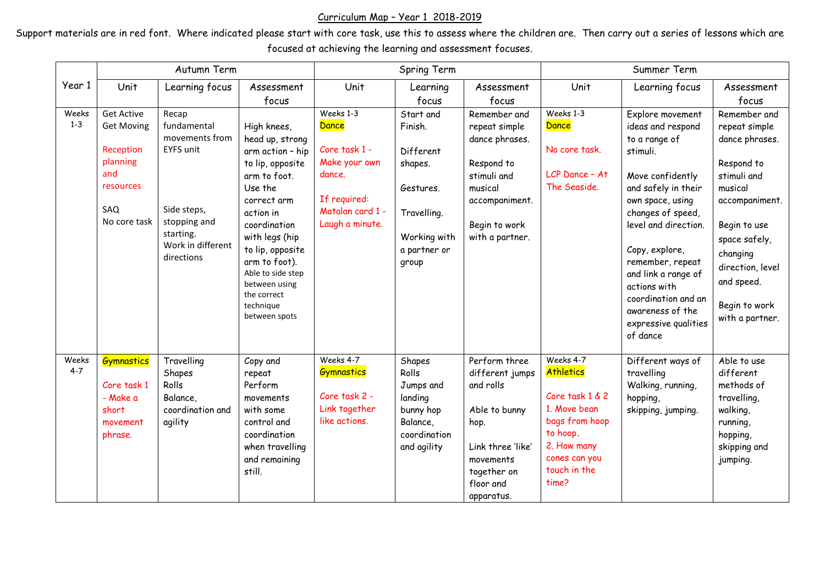## Curriculum Map – Year 1 2018-2019

Support materials are in red font. Where indicated please start with core task, use this to assess where the children are. Then carry out a series of lessons which are focused at achieving the learning and assessment focuses.

|                  | Autumn Term                                                                                                |                                                                                                                                           |                                                                                                                                                                                                                                                                                         | Spring Term                                                                                                           |                                                                                                                   |                                                                                                                                                    | Summer Term                                                                                                                                      |                                                                                                                                                                                                                                                                                                                                            |                                                                                                                                                                                                                              |
|------------------|------------------------------------------------------------------------------------------------------------|-------------------------------------------------------------------------------------------------------------------------------------------|-----------------------------------------------------------------------------------------------------------------------------------------------------------------------------------------------------------------------------------------------------------------------------------------|-----------------------------------------------------------------------------------------------------------------------|-------------------------------------------------------------------------------------------------------------------|----------------------------------------------------------------------------------------------------------------------------------------------------|--------------------------------------------------------------------------------------------------------------------------------------------------|--------------------------------------------------------------------------------------------------------------------------------------------------------------------------------------------------------------------------------------------------------------------------------------------------------------------------------------------|------------------------------------------------------------------------------------------------------------------------------------------------------------------------------------------------------------------------------|
| Year 1           | Unit                                                                                                       | Learning focus                                                                                                                            | Assessment                                                                                                                                                                                                                                                                              | Unit                                                                                                                  | Learning                                                                                                          | Assessment                                                                                                                                         | Unit                                                                                                                                             | Learning focus                                                                                                                                                                                                                                                                                                                             | Assessment                                                                                                                                                                                                                   |
|                  |                                                                                                            |                                                                                                                                           | focus                                                                                                                                                                                                                                                                                   |                                                                                                                       | focus                                                                                                             | focus                                                                                                                                              |                                                                                                                                                  |                                                                                                                                                                                                                                                                                                                                            | focus                                                                                                                                                                                                                        |
| Weeks<br>$1 - 3$ | <b>Get Active</b><br><b>Get Moving</b><br>Reception<br>planning<br>and<br>resources<br>SAQ<br>No core task | Recap<br>fundamental<br>movements from<br><b>EYFS unit</b><br>Side steps,<br>stopping and<br>starting.<br>Work in different<br>directions | High knees,<br>head up, strong<br>arm action - hip<br>to lip, opposite<br>arm to foot.<br>Use the<br>correct arm<br>action in<br>coordination<br>with legs (hip<br>to lip, opposite<br>arm to foot).<br>Able to side step<br>between using<br>the correct<br>technique<br>between spots | Weeks 1-3<br>Dance<br>Core task 1 -<br>Make your own<br>dance.<br>If required:<br>Matalan card 1 -<br>Laugh a minute. | Start and<br>Finish.<br>Different<br>shapes.<br>Gestures.<br>Travelling.<br>Working with<br>a partner or<br>group | Remember and<br>repeat simple<br>dance phrases.<br>Respond to<br>stimuli and<br>musical<br>accompaniment.<br>Begin to work<br>with a partner.      | Weeks 1-3<br>Dance<br>No core task.<br>LCP Dance - At<br>The Seaside.                                                                            | Explore movement<br>ideas and respond<br>to a range of<br>stimuli.<br>Move confidently<br>and safely in their<br>own space, using<br>changes of speed,<br>level and direction.<br>Copy, explore,<br>remember, repeat<br>and link a range of<br>actions with<br>coordination and an<br>awareness of the<br>expressive qualities<br>of dance | Remember and<br>repeat simple<br>dance phrases.<br>Respond to<br>stimuli and<br>musical<br>accompaniment.<br>Begin to use<br>space safely,<br>changing<br>direction, level<br>and speed.<br>Begin to work<br>with a partner. |
| Weeks<br>$4 - 7$ | <b>Gymnastics</b><br>Core task 1<br>- Make a<br>short<br>movement<br>phrase.                               | Travelling<br>Shapes<br>Rolls<br>Balance,<br>coordination and<br>agility                                                                  | Copy and<br>repeat<br>Perform<br>movements<br>with some<br>control and<br>coordination<br>when travelling<br>and remaining<br>still.                                                                                                                                                    | Weeks 4-7<br><b>Gymnastics</b><br>Core task 2 -<br>Link together<br>like actions.                                     | Shapes<br>Rolls<br>Jumps and<br>landing<br>bunny hop<br>Balance,<br>coordination<br>and agility                   | Perform three<br>different jumps<br>and rolls<br>Able to bunny<br>hop.<br>Link three 'like'<br>movements<br>together on<br>floor and<br>apparatus. | Weeks 4-7<br>Athletics<br>Core task 1 & 2<br>1. Move bean<br>bags from hoop<br>to hoop.<br>2. How many<br>cones can you<br>touch in the<br>time? | Different ways of<br>travelling<br>Walking, running,<br>hopping,<br>skipping, jumping.                                                                                                                                                                                                                                                     | Able to use<br>different<br>methods of<br>travelling,<br>walking,<br>running,<br>hopping,<br>skipping and<br>jumping.                                                                                                        |